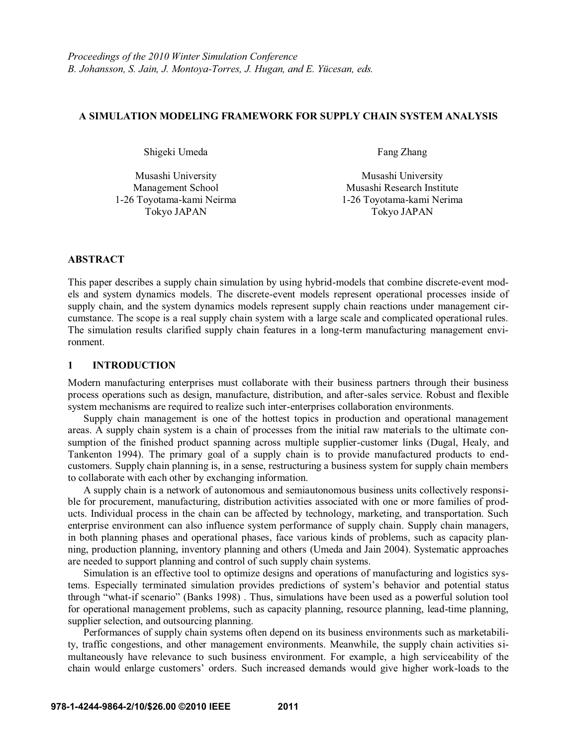### **A SIMULATION MODELING FRAMEWORK FOR SUPPLY CHAIN SYSTEM ANALYSIS**

Shigeki Umeda Fang Zhang

Musashi University Musashi University 1-26 Toyotama-kami Neirma Tokyo JAPAN

Musashi Research Institute 1-26 Toyotama-kami Nerima Tokyo JAPAN

# **ABSTRACT**

This paper describes a supply chain simulation by using hybrid-models that combine discrete-event models and system dynamics models. The discrete-event models represent operational processes inside of supply chain, and the system dynamics models represent supply chain reactions under management circumstance. The scope is a real supply chain system with a large scale and complicated operational rules. The simulation results clarified supply chain features in a long-term manufacturing management environment.

# **1 INTRODUCTION**

Modern manufacturing enterprises must collaborate with their business partners through their business process operations such as design, manufacture, distribution, and after-sales service. Robust and flexible system mechanisms are required to realize such inter-enterprises collaboration environments.

Supply chain management is one of the hottest topics in production and operational management areas. A supply chain system is a chain of processes from the initial raw materials to the ultimate consumption of the finished product spanning across multiple supplier-customer links (Dugal, Healy, and Tankenton 1994). The primary goal of a supply chain is to provide manufactured products to endcustomers. Supply chain planning is, in a sense, restructuring a business system for supply chain members to collaborate with each other by exchanging information.

A supply chain is a network of autonomous and semiautonomous business units collectively responsible for procurement, manufacturing, distribution activities associated with one or more families of products. Individual process in the chain can be affected by technology, marketing, and transportation. Such enterprise environment can also influence system performance of supply chain. Supply chain managers, in both planning phases and operational phases, face various kinds of problems, such as capacity planning, production planning, inventory planning and others (Umeda and Jain 2004). Systematic approaches are needed to support planning and control of such supply chain systems.

Simulation is an effective tool to optimize designs and operations of manufacturing and logistics sys tems. Especially terminated simulation provides predictions of system's behavior and potential status through "what-if scenario" (Banks 1998). Thus, simulations have been used as a powerful solution tool for operational management problems, such as capacity planning, resource planning, lead-time planning, supplier selection, and outsourcing planning.

Performances of supply chain systems often depend on its business environments such as marketability, traffic congestions, and other management environments. Meanwhile, the supply chain activities simultaneously have relevance to such business environment. For example, a high serviceability of the chain would enlarge customers' orders. Such increased demands would give higher work-loads to the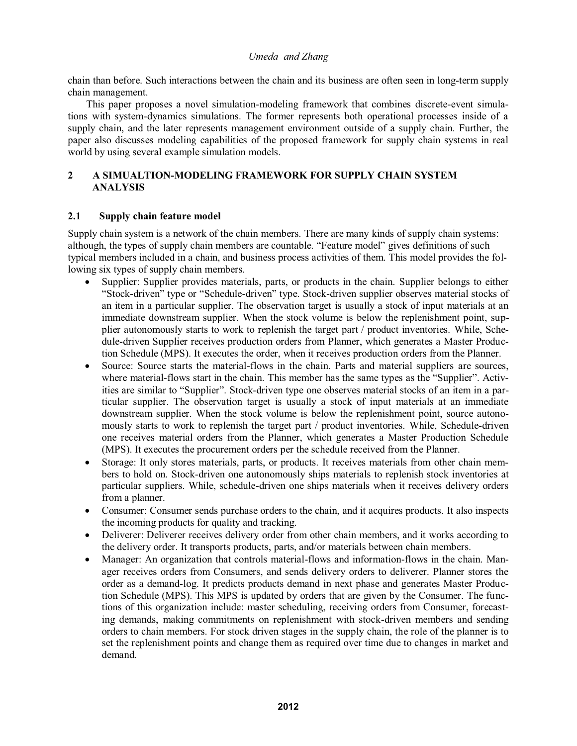chain than before. Such interactions between the chain and its business are often seen in long-term supply chain management.

This paper proposes a novel simulation-modeling framework that combines discrete-event simulations with system-dynamics simulations. The former represents both operational processes inside of a supply chain, and the later represents management environment outside of a supply chain. Further, the paper also discusses modeling capabilities of the proposed framework for supply chain systems in real world by using several example simulation models.

# **2 A SIMUALTION-MODELING FRAMEWORK FOR SUPPLY CHAIN SYSTEM ANALYSIS**

# **2.1 Supply chain feature model**

Supply chain system is a network of the chain members. There are many kinds of supply chain systems: although, the types of supply chain members are countable. "Feature model" gives definitions of such typical members included in a chain, and business process activities of them. This model provides the following six types of supply chain members.

- $\bullet$  Supplier: Supplier provides materials, parts, or products in the chain. Supplier belongs to either "Stock-driven" type or "Schedule-driven" type. Stock-driven supplier observes material stocks of an item in a particular supplier. The observation target is usually a stock of input materials at an immediate downstream supplier. When the stock volume is below the replenishment point, supplier autonomously starts to work to replenish the target part / product inventories. While, Schedule-driven Supplier receives production orders from Planner, which generates a Master Production Schedule (MPS). It executes the order, when it receives production orders from the Planner.
- $\bullet$  Source: Source starts the material-flows in the chain. Parts and material suppliers are sources, where material-flows start in the chain. This member has the same types as the "Supplier". Activities are similar to "Supplier". Stock-driven type one observes material stocks of an item in a particular supplier. The observation target is usually a stock of input materials at an immediate downstream supplier. When the stock volume is below the replenishment point, source autonomously starts to work to replenish the target part / product inventories. While, Schedule-driven one receives material orders from the Planner, which generates a Master Production Schedule (MPS). It executes the procurement orders per the schedule received from the Planner.
- Storage: It only stores materials, parts, or products. It receives materials from other chain members to hold on. Stock-driven one autonomously ships materials to replenish stock inventories at particular suppliers. While, schedule-driven one ships materials when it receives delivery orders from a planner.
- Consumer: Consumer sends purchase orders to the chain, and it acquires products. It also inspects the incoming products for quality and tracking.
- $\bullet$  Deliverer: Deliverer receives delivery order from other chain members, and it works according to the delivery order. It transports products, parts, and/or materials between chain members.
- $\bullet$  Manager: An organization that controls material-flows and information-flows in the chain. Manager receives orders from Consumers, and sends delivery orders to deliverer. Planner stores the order as a demand-log. It predicts products demand in next phase and generates Master Production Schedule (MPS). This MPS is updated by orders that are given by the Consumer. The functions of this organization include: master scheduling, receiving orders from Consumer, forecasting demands, making commitments on replenishment with stock-driven members and sending orders to chain members. For stock driven stages in the supply chain, the role of the planner is to set the replenishment points and change them as required over time due to changes in market and demand.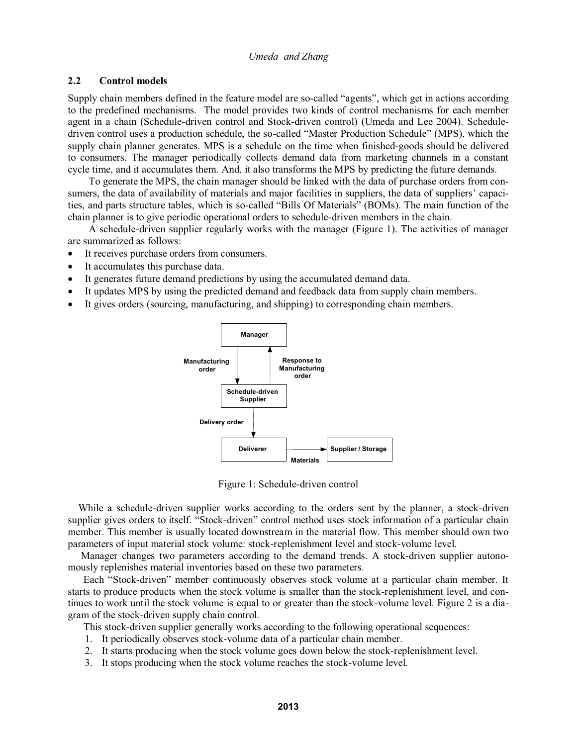### **2.2 Control models**

Supply chain members defined in the feature model are so-called "agents", which get in actions according to the predefined mechanisms. The model provides two kinds of control mechanisms for each member agent in a chain (Schedule-driven control and Stock-driven control) (Umeda and Lee 2004). Scheduledriven control uses a production schedule, the so-called "Master Production Schedule" (MPS), which the supply chain planner generates. MPS is a schedule on the time when finished-goods should be delivered to consumers. The manager periodically collects demand data from marketing channels in a constant cycle time, and it accumulates them. And, it also transforms the MPS by predicting the future demands.

To generate the MPS, the chain manager should be linked with the data of purchase orders from consumers, the data of availability of materials and major facilities in suppliers, the data of suppliers' capacities, and parts structure tables, which is so-called "Bills Of Materials" (BOMs). The main function of the chain planner is to give periodic operational orders to schedule-driven members in the chain.

A schedule-driven supplier regularly works with the manager (Figure 1). The activities of manager are summarized as follows:

- $\bullet$ It receives purchase orders from consumers.
- $\bullet$ It accumulates this purchase data.
- $\bullet$ It generates future demand predictions by using the accumulated demand data.
- $\bullet$ It updates MPS by using the predicted demand and feedback data from supply chain members.
- $\bullet$ It gives orders (sourcing, manufacturing, and shipping) to corresponding chain members.



Figure 1: Schedule-driven control

While a schedule-driven supplier works according to the orders sent by the planner, a stock-driven supplier gives orders to itself. "Stock-driven" control method uses stock information of a particular chain member. This member is usually located downstream in the material flow. This member should own two parameters of input material stock volume: stock-replenishment level and stock-volume level.

 Manager changes two parameters according to the demand trends. A stock-driven supplier autonomously replenishes material inventories based on these two parameters.

Each "Stock-driven" member continuously observes stock volume at a particular chain member. It starts to produce products when the stock volume is smaller than the stock-replenishment level, and continues to work until the stock volume is equal to or greater than the stock-volume level. Figure 2 is a diagram of the stock-driven supply chain control.

This stock-driven supplier generally works according to the following operational sequences:

- 1. It periodically observes stock-volume data of a particular chain member.
- 2. It starts producing when the stock volume goes down below the stock-replenishment level.
- 3. It stops producing when the stock volume reaches the stock-volume level.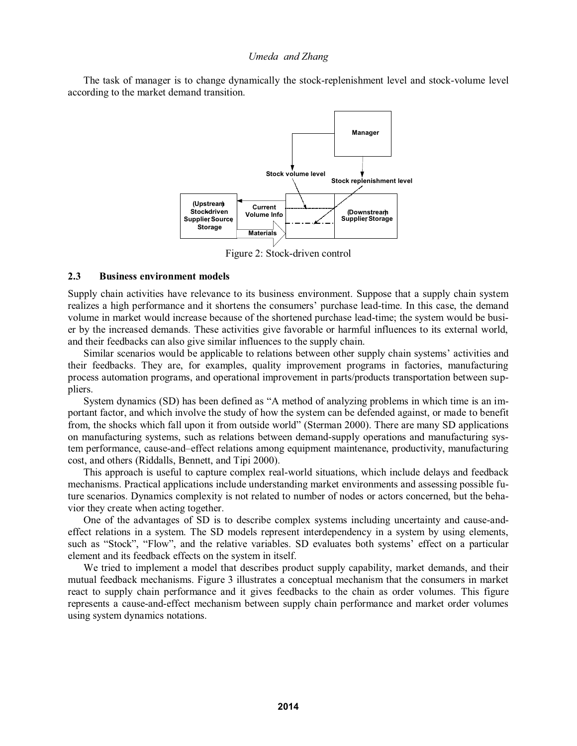The task of manager is to change dynamically the stock-replenishment level and stock-volume level according to the market demand transition.



Figure 2: Stock-driven control

### **2.3 Business environment models**

Supply chain activities have relevance to its business environment. Suppose that a supply chain system realizes a high performance and it shortens the consumers' purchase lead-time. In this case, the demand volume in market would increase because of the shortened purchase lead-time; the system would be busier by the increased demands. These activities give favorable or harmful influences to its external world, and their feedbacks can also give similar influences to the supply chain.

Similar scenarios would be applicable to relations between other supply chain systems' activities and their feedbacks. They are, for examples, quality improvement programs in factories, manufacturing process automation programs, and operational improvement in parts/products transportation between suppliers.

System dynamics (SD) has been defined as "A method of analyzing problems in which time is an important factor, and which involve the study of how the system can be defended against, or made to benefit from, the shocks which fall upon it from outside world" (Sterman 2000). There are many SD applications on manufacturing systems, such as relations between demand-supply operations and manufacturing system performance, cause-and-effect relations among equipment maintenance, productivity, manufacturing cost, and others (Riddalls, Bennett, and Tipi 2000).

This approach is useful to capture complex real-world situations, which include delays and feedback mechanisms. Practical applications include understanding market environments and assessing possible future scenarios. Dynamics complexity is not related to number of nodes or actors concerned, but the behavior they create when acting together.

One of the advantages of SD is to describe complex systems including uncertainty and cause-andeffect relations in a system. The SD models represent interdependency in a system by using elements, such as "Stock", "Flow", and the relative variables. SD evaluates both systems' effect on a particular element and its feedback effects on the system in itself.

We tried to implement a model that describes product supply capability, market demands, and their mutual feedback mechanisms. Figure 3 illustrates a conceptual mechanism that the consumers in market react to supply chain performance and it gives feedbacks to the chain as order volumes. This figure represents a cause-and-effect mechanism between supply chain performance and market order volumes using system dynamics notations.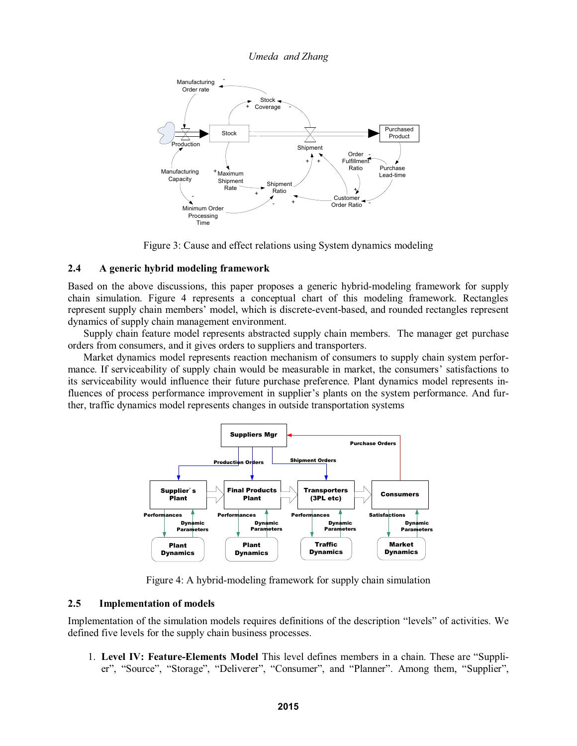

Figure 3: Cause and effect relations using System dynamics modeling

## **2.4 A generic hybrid modeling framework**

Based on the above discussions, this paper proposes a generic hybrid-modeling framework for supply chain simulation. Figure 4 represents a conceptual chart of this modeling framework. Rectangles represent supply chain members' model, which is discrete-event-based, and rounded rectangles represent dynamics of supply chain management environment.

 Supply chain feature model represents abstracted supply chain members. The manager get purchase orders from consumers, and it gives orders to suppliers and transporters.

Market dynamics model represents reaction mechanism of consumers to supply chain system performance. If serviceability of supply chain would be measurable in market, the consumers' satisfactions to its serviceability would influence their future purchase preference. Plant dynamics model represents influences of process performance improvement in supplier's plants on the system performance. And further, traffic dynamics model represents changes in outside transportation systems



Figure 4: A hybrid-modeling framework for supply chain simulation

## **2.5 Implementation of models**

Implementation of the simulation models requires definitions of the description "levels" of activities. We defined five levels for the supply chain business processes.

1. Level IV: Feature-Elements Model This level defines members in a chain. These are "Supplier", "Source", "Storage", "Deliverer", "Consumer", and "Planner". Among them, "Supplier",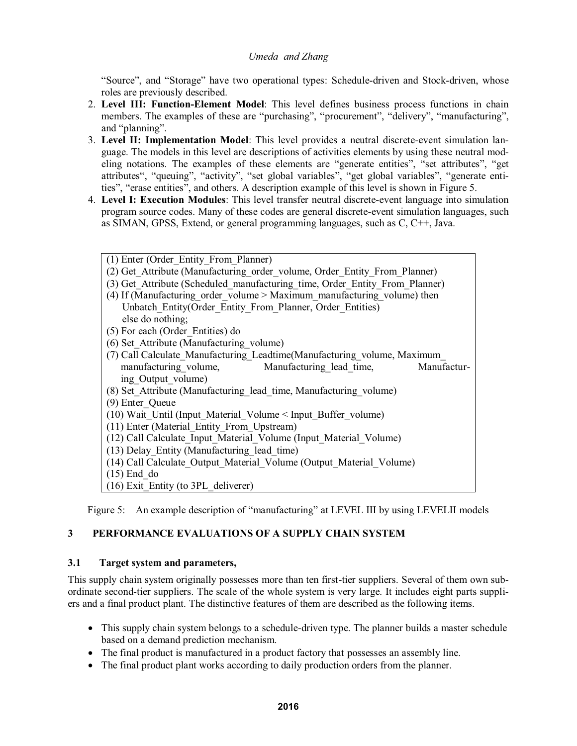"Source", and "Storage" have two operational types: Schedule-driven and Stock-driven, whose roles are previously described.

- 2. **Level III: Function-Element Model**: This level defines business process functions in chain members. The examples of these are "purchasing", "procurement", "delivery", "manufacturing", and "planning".
- 3. **Level II: Implementation Model**: This level provides a neutral discrete-event simulation language. The models in this level are descriptions of activities elements by using these neutral modeling notations. The examples of these elements are "generate entities", "set attributes", "get attributes", "queuing", "activity", "set global variables", "get global variables", "generate entities", "erase entities", and others. A description example of this level is shown in Figure 5.
- 4. **Level I: Execution Modules**: This level transfer neutral discrete-event language into simulation program source codes. Many of these codes are general discrete-event simulation languages, such as SIMAN, GPSS, Extend, or general programming languages, such as C, C++, Java.

| (1) Enter (Order Entity From Planner)                                       |
|-----------------------------------------------------------------------------|
| (2) Get Attribute (Manufacturing order volume, Order Entity From Planner)   |
| (3) Get Attribute (Scheduled manufacturing time, Order Entity From Planner) |
| (4) If (Manufacturing order volume > Maximum manufacturing volume) then     |
| Unbatch Entity(Order Entity From Planner, Order Entities)                   |
| else do nothing;                                                            |
| (5) For each (Order Entities) do                                            |
| (6) Set Attribute (Manufacturing volume)                                    |
| (7) Call Calculate Manufacturing Leadtime (Manufacturing volume, Maximum    |
| manufacturing volume, Manufacturing lead time,<br>Manufactur-               |
| ing Output volume)                                                          |
| (8) Set Attribute (Manufacturing lead time, Manufacturing volume)           |
| $(9)$ Enter Queue                                                           |
| $(10)$ Wait Until (Input Material Volume $\leq$ Input Buffer volume)        |
| (11) Enter (Material Entity From Upstream)                                  |
| (12) Call Calculate Input Material Volume (Input Material Volume)           |
| (13) Delay Entity (Manufacturing lead time)                                 |
| (14) Call Calculate Output Material Volume (Output Material Volume)         |
| $(15)$ End do                                                               |
| $(16)$ Exit Entity (to 3PL deliverer)                                       |
|                                                                             |

Figure 5: An example description of "manufacturing" at LEVEL III by using LEVELII models

# **3 PERFORMANCE EVALUATIONS OF A SUPPLY CHAIN SYSTEM**

# **3.1 Target system and parameters,**

This supply chain system originally possesses more than ten first-tier suppliers. Several of them own subordinate second-tier suppliers. The scale of the whole system is very large. It includes eight parts suppliers and a final product plant. The distinctive features of them are described as the following items.

- This supply chain system belongs to a schedule-driven type. The planner builds a master schedule based on a demand prediction mechanism.
- The final product is manufactured in a product factory that possesses an assembly line.
- The final product plant works according to daily production orders from the planner.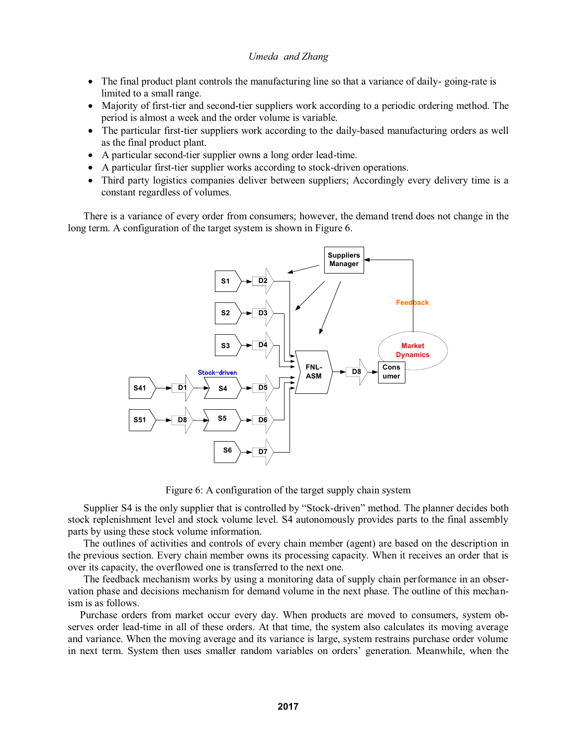- The final product plant controls the manufacturing line so that a variance of daily- going-rate is limited to a small range.
- Majority of first-tier and second-tier suppliers work according to a periodic ordering method. The period is almost a week and the order volume is variable.
- The particular first-tier suppliers work according to the daily-based manufacturing orders as well as the final product plant.
- A particular second-tier supplier owns a long order lead-time.
- A particular first-tier supplier works according to stock-driven operations.
- Third party logistics companies deliver between suppliers; Accordingly every delivery time is a constant regardless of volumes.

There is a variance of every order from consumers; however, the demand trend does not change in the long term. A configuration of the target system is shown in Figure 6.



Figure 6: A configuration of the target supply chain system

Supplier S4 is the only supplier that is controlled by "Stock-driven" method. The planner decides both stock replenishment level and stock volume level. S4 autonomously provides parts to the final assembly parts by using these stock volume information.

The outlines of activities and controls of every chain member (agent) are based on the description in the previous section. Every chain member owns its processing capacity. When it receives an order that is over its capacity, the overflowed one is transferred to the next one.

The feedback mechanism works by using a monitoring data of supply chain performance in an observation phase and decisions mechanism for demand volume in the next phase. The outline of this mechanism is as follows.

Purchase orders from market occur every day. When products are moved to consumers, system observes order lead-time in all of these orders. At that time, the system also calculates its moving average and variance. When the moving average and its variance is large, system restrains purchase order volume in next term. System then uses smaller random variables on orders' generation. Meanwhile, when the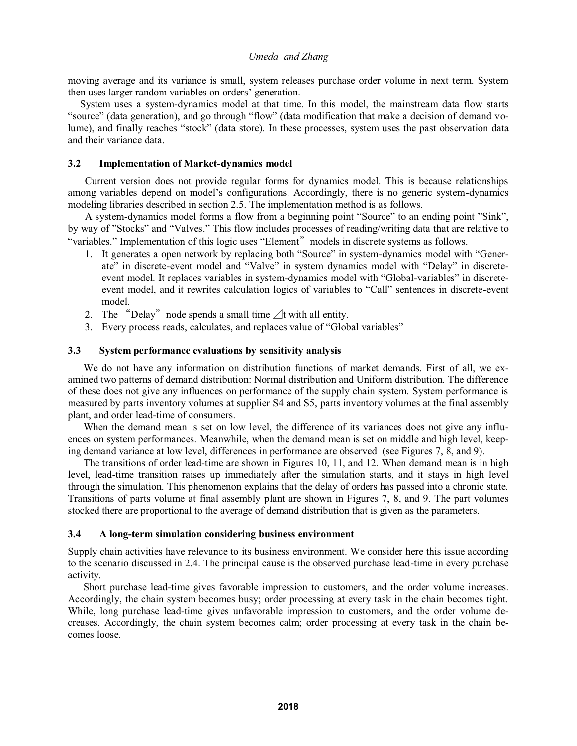moving average and its variance is small, system releases purchase order volume in next term. System then uses larger random variables on orders' generation.

System uses a system-dynamics model at that time. In this model, the mainstream data flow starts "source" (data generation), and go through "flow" (data modification that make a decision of demand volume), and finally reaches "stock" (data store). In these processes, system uses the past observation data and their variance data.

### **3.2 Implementation of Market-dynamics model**

Current version does not provide regular forms for dynamics model. This is because relationships among variables depend on model's configurations. Accordingly, there is no generic system-dynamics modeling libraries described in section 2.5. The implementation method is as follows.

A system-dynamics model forms a flow from a beginning point "Source" to an ending point "Sink", by way of "Stocks" and "Valves." This flow includes processes of reading/writing data that are relative to "variables." Implementation of this logic uses "Element" models in discrete systems as follows.

- 1. It generates a open network by replacing both "Source" in system-dynamics model with "Generate" in discrete-event model and "Valve" in system dynamics model with "Delay" in discreteevent model. It replaces variables in system-dynamics model with "Global-variables" in discreteevent model, and it rewrites calculation logics of variables to "Call" sentences in discrete-event model.
- 2. The "Delay" node spends a small time  $\angle$ t with all entity.
- 3. Every process reads, calculates, and replaces value of "Global variables"

### **3.3 System performance evaluations by sensitivity analysis**

We do not have any information on distribution functions of market demands. First of all, we examined two patterns of demand distribution: Normal distribution and Uniform distribution. The difference of these does not give any influences on performance of the supply chain system. System performance is measured by parts inventory volumes at supplier S4 and S5, parts inventory volumes at the final assembly plant, and order lead-time of consumers.

When the demand mean is set on low level, the difference of its variances does not give any influences on system performances. Meanwhile, when the demand mean is set on middle and high level, keeping demand variance at low level, differences in performance are observed (see Figures 7, 8, and 9).

The transitions of order lead-time are shown in Figures 10, 11, and 12. When demand mean is in high level, lead-time transition raises up immediately after the simulation starts, and it stays in high level through the simulation. This phenomenon explains that the delay of orders has passed into a chronic state. Transitions of parts volume at final assembly plant are shown in Figures 7, 8, and 9. The part volumes stocked there are proportional to the average of demand distribution that is given as the parameters.

### **3.4 A long-term simulation considering business environment**

Supply chain activities have relevance to its business environment. We consider here this issue according to the scenario discussed in 2.4. The principal cause is the observed purchase lead-time in every purchase activity.

Short purchase lead-time gives favorable impression to customers, and the order volume increases. Accordingly, the chain system becomes busy; order processing at every task in the chain becomes tight. While, long purchase lead-time gives unfavorable impression to customers, and the order volume decreases. Accordingly, the chain system becomes calm; order processing at every task in the chain becomes loose.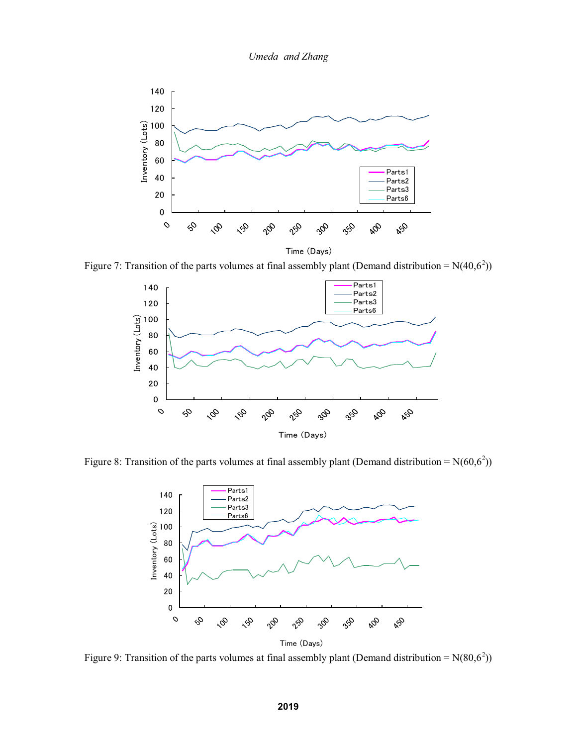*Umeda and Zhang* 



Figure 7: Transition of the parts volumes at final assembly plant (Demand distribution =  $N(40,6^2)$ )



Figure 8: Transition of the parts volumes at final assembly plant (Demand distribution =  $N(60,6^2)$ )



Figure 9: Transition of the parts volumes at final assembly plant (Demand distribution =  $N(80,6^2)$ )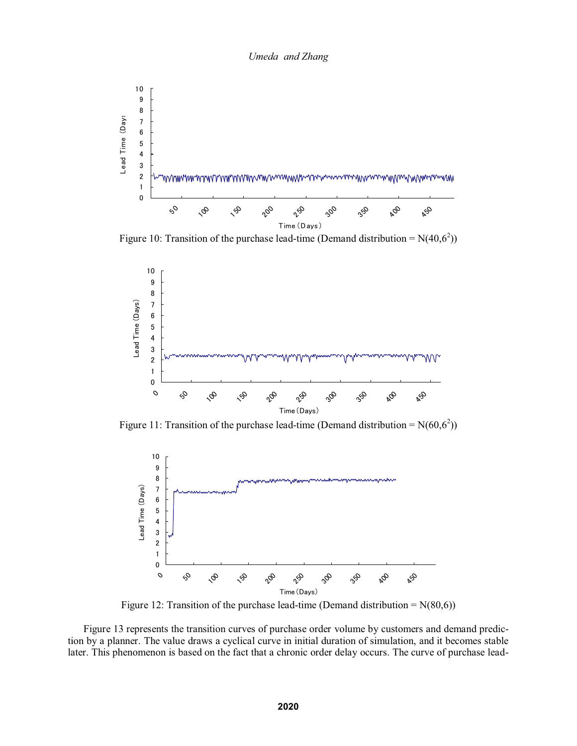

Figure 10: Transition of the purchase lead-time (Demand distribution =  $N(40,6^2)$ )



Figure 11: Transition of the purchase lead-time (Demand distribution =  $N(60,6^2)$ )



Figure 12: Transition of the purchase lead-time (Demand distribution =  $N(80,6)$ )

Figure 13 represents the transition curves of purchase order volume by customers and demand prediction by a planner. The value draws a cyclical curve in initial duration of simulation, and it becomes stable later. This phenomenon is based on the fact that a chronic order delay occurs. The curve of purchase lead-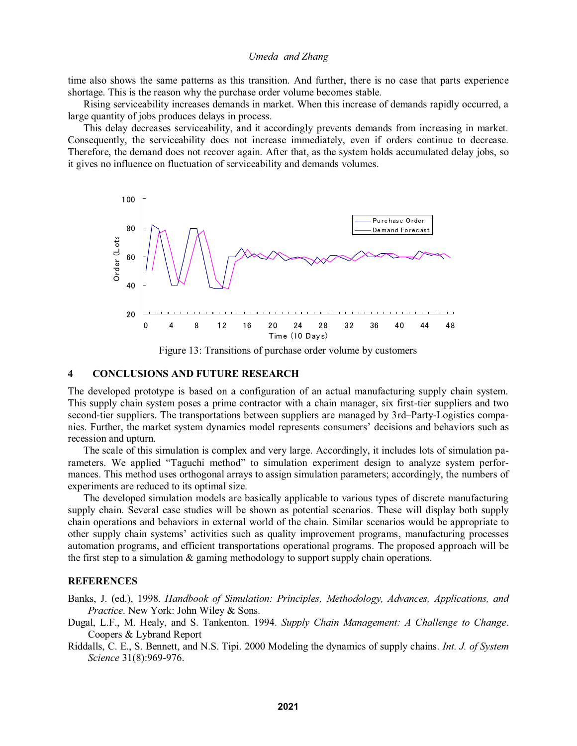time also shows the same patterns as this transition. And further, there is no case that parts experience shortage. This is the reason why the purchase order volume becomes stable.

Rising serviceability increases demands in market. When this increase of demands rapidly occurred, a large quantity of jobs produces delays in process.

This delay decreases serviceability, and it accordingly prevents demands from increasing in market. Consequently, the serviceability does not increase immediately, even if orders continue to decrease. Therefore, the demand does not recover again. After that, as the system holds accumulated delay jobs, so it gives no influence on fluctuation of serviceability and demands volumes.



Figure 13: Transitions of purchase order volume by customers

### **4 CONCLUSIONS AND FUTURE RESEARCH**

The developed prototype is based on a configuration of an actual manufacturing supply chain system. This supply chain system poses a prime contractor with a chain manager, six first-tier suppliers and two second-tier suppliers. The transportations between suppliers are managed by 3rd-Party-Logistics companies. Further, the market system dynamics model represents consumers' decisions and behaviors such as recession and upturn.

The scale of this simulation is complex and very large. Accordingly, it includes lots of simulation parameters. We applied "Taguchi method" to simulation experiment design to analyze system performances. This method uses orthogonal arrays to assign simulation parameters; accordingly, the numbers of experiments are reduced to its optimal size.

The developed simulation models are basically applicable to various types of discrete manufacturing supply chain. Several case studies will be shown as potential scenarios. These will display both supply chain operations and behaviors in external world of the chain. Similar scenarios would be appropriate to other supply chain systems' activities such as quality improvement programs, manufacturing processes automation programs, and efficient transportations operational programs. The proposed approach will be the first step to a simulation  $\&$  gaming methodology to support supply chain operations.

### **REFERENCES**

Banks, J. (ed.), 1998. *Handbook of Simulation: Principles, Methodology, Advances, Applications, and Practice*. New York: John Wiley & Sons.

Dugal, L.F., M. Healy, and S. Tankenton. 1994. *Supply Chain Management: A Challenge to Change*. Coopers & Lybrand Report

Riddalls, C. E., S. Bennett, and N.S. Tipi. 2000 Modeling the dynamics of supply chains. *Int. J. of System Science* 31(8):969-976.